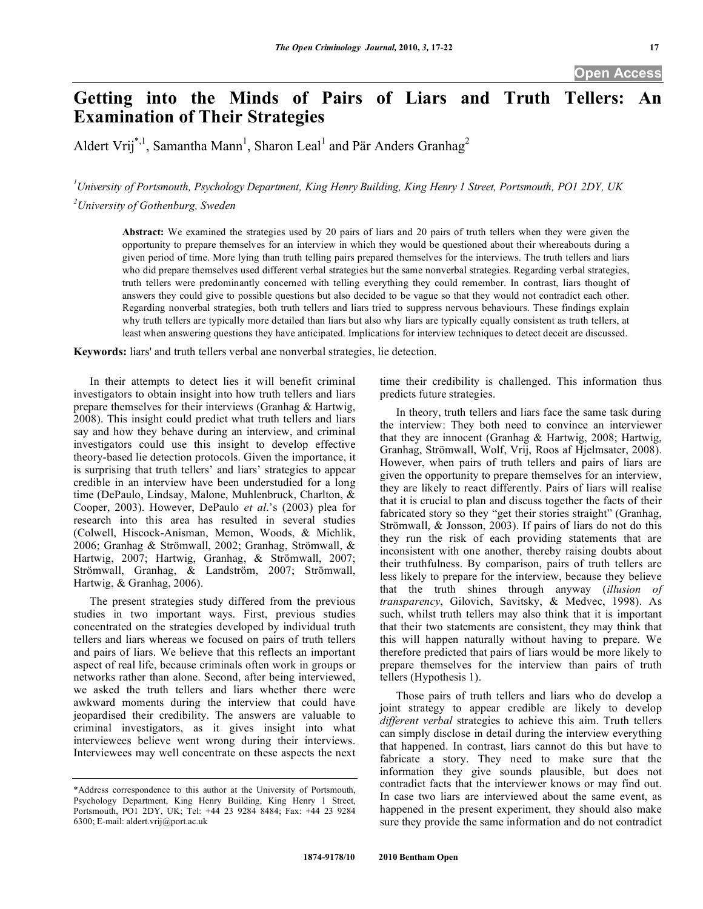# **Getting into the Minds of Pairs of Liars and Truth Tellers: An Examination of Their Strategies**

Aldert Vrij<sup>\*,1</sup>, Samantha Mann<sup>1</sup>, Sharon Leal<sup>1</sup> and Pär Anders Granhag<sup>2</sup>

*1 University of Portsmouth, Psychology Department, King Henry Building, King Henry 1 Street, Portsmouth, PO1 2DY, UK 2 University of Gothenburg, Sweden* 

**Abstract:** We examined the strategies used by 20 pairs of liars and 20 pairs of truth tellers when they were given the opportunity to prepare themselves for an interview in which they would be questioned about their whereabouts during a given period of time. More lying than truth telling pairs prepared themselves for the interviews. The truth tellers and liars who did prepare themselves used different verbal strategies but the same nonverbal strategies. Regarding verbal strategies, truth tellers were predominantly concerned with telling everything they could remember. In contrast, liars thought of answers they could give to possible questions but also decided to be vague so that they would not contradict each other. Regarding nonverbal strategies, both truth tellers and liars tried to suppress nervous behaviours. These findings explain why truth tellers are typically more detailed than liars but also why liars are typically equally consistent as truth tellers, at least when answering questions they have anticipated. Implications for interview techniques to detect deceit are discussed.

**Keywords:** liars' and truth tellers verbal ane nonverbal strategies, lie detection.

 In their attempts to detect lies it will benefit criminal investigators to obtain insight into how truth tellers and liars prepare themselves for their interviews (Granhag & Hartwig, 2008). This insight could predict what truth tellers and liars say and how they behave during an interview, and criminal investigators could use this insight to develop effective theory-based lie detection protocols. Given the importance, it is surprising that truth tellers' and liars' strategies to appear credible in an interview have been understudied for a long time (DePaulo, Lindsay, Malone, Muhlenbruck, Charlton, & Cooper, 2003). However, DePaulo *et al*.'s (2003) plea for research into this area has resulted in several studies (Colwell, Hiscock-Anisman, Memon, Woods, & Michlik, 2006; Granhag & Strömwall, 2002; Granhag, Strömwall, & Hartwig, 2007; Hartwig, Granhag, & Strömwall, 2007; Strömwall, Granhag, & Landström, 2007; Strömwall, Hartwig, & Granhag, 2006).

 The present strategies study differed from the previous studies in two important ways. First, previous studies concentrated on the strategies developed by individual truth tellers and liars whereas we focused on pairs of truth tellers and pairs of liars. We believe that this reflects an important aspect of real life, because criminals often work in groups or networks rather than alone. Second, after being interviewed, we asked the truth tellers and liars whether there were awkward moments during the interview that could have jeopardised their credibility. The answers are valuable to criminal investigators, as it gives insight into what interviewees believe went wrong during their interviews. Interviewees may well concentrate on these aspects the next time their credibility is challenged. This information thus predicts future strategies.

 In theory, truth tellers and liars face the same task during the interview: They both need to convince an interviewer that they are innocent (Granhag & Hartwig, 2008; Hartwig, Granhag, Strömwall, Wolf, Vrij, Roos af Hjelmsater, 2008). However, when pairs of truth tellers and pairs of liars are given the opportunity to prepare themselves for an interview, they are likely to react differently. Pairs of liars will realise that it is crucial to plan and discuss together the facts of their fabricated story so they "get their stories straight" (Granhag, Strömwall, & Jonsson, 2003). If pairs of liars do not do this they run the risk of each providing statements that are inconsistent with one another, thereby raising doubts about their truthfulness. By comparison, pairs of truth tellers are less likely to prepare for the interview, because they believe that the truth shines through anyway (*illusion of transparency*, Gilovich, Savitsky, & Medvec, 1998). As such, whilst truth tellers may also think that it is important that their two statements are consistent, they may think that this will happen naturally without having to prepare. We therefore predicted that pairs of liars would be more likely to prepare themselves for the interview than pairs of truth tellers (Hypothesis 1).

 Those pairs of truth tellers and liars who do develop a joint strategy to appear credible are likely to develop *different verbal* strategies to achieve this aim. Truth tellers can simply disclose in detail during the interview everything that happened. In contrast, liars cannot do this but have to fabricate a story. They need to make sure that the information they give sounds plausible, but does not contradict facts that the interviewer knows or may find out. In case two liars are interviewed about the same event, as happened in the present experiment, they should also make sure they provide the same information and do not contradict

<sup>\*</sup>Address correspondence to this author at the University of Portsmouth, Psychology Department, King Henry Building, King Henry 1 Street, Portsmouth, PO1 2DY, UK; Tel: +44 23 9284 8484; Fax: +44 23 9284 6300; E-mail: aldert.vrij@port.ac.uk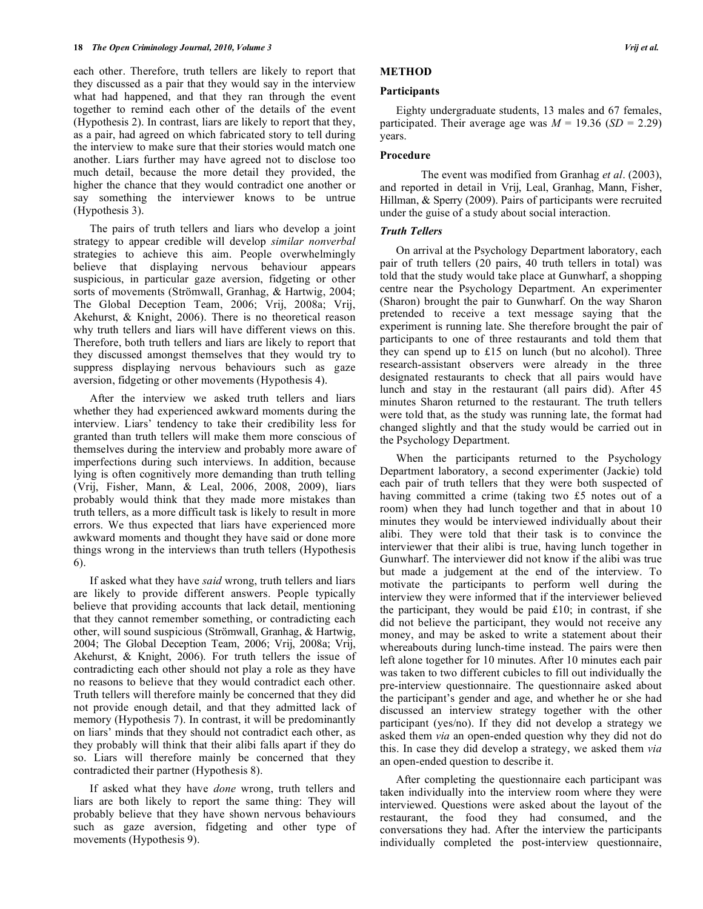each other. Therefore, truth tellers are likely to report that they discussed as a pair that they would say in the interview what had happened, and that they ran through the event together to remind each other of the details of the event (Hypothesis 2). In contrast, liars are likely to report that they, as a pair, had agreed on which fabricated story to tell during the interview to make sure that their stories would match one another. Liars further may have agreed not to disclose too much detail, because the more detail they provided, the higher the chance that they would contradict one another or say something the interviewer knows to be untrue (Hypothesis 3).

 The pairs of truth tellers and liars who develop a joint strategy to appear credible will develop *similar nonverbal*  strategies to achieve this aim. People overwhelmingly believe that displaying nervous behaviour appears suspicious, in particular gaze aversion, fidgeting or other sorts of movements (Strömwall, Granhag, & Hartwig, 2004; The Global Deception Team, 2006; Vrij, 2008a; Vrij, Akehurst, & Knight, 2006). There is no theoretical reason why truth tellers and liars will have different views on this. Therefore, both truth tellers and liars are likely to report that they discussed amongst themselves that they would try to suppress displaying nervous behaviours such as gaze aversion, fidgeting or other movements (Hypothesis 4).

 After the interview we asked truth tellers and liars whether they had experienced awkward moments during the interview. Liars' tendency to take their credibility less for granted than truth tellers will make them more conscious of themselves during the interview and probably more aware of imperfections during such interviews. In addition, because lying is often cognitively more demanding than truth telling (Vrij, Fisher, Mann, & Leal, 2006, 2008, 2009), liars probably would think that they made more mistakes than truth tellers, as a more difficult task is likely to result in more errors. We thus expected that liars have experienced more awkward moments and thought they have said or done more things wrong in the interviews than truth tellers (Hypothesis 6).

 If asked what they have *said* wrong, truth tellers and liars are likely to provide different answers. People typically believe that providing accounts that lack detail, mentioning that they cannot remember something, or contradicting each other, will sound suspicious (Strömwall, Granhag, & Hartwig, 2004; The Global Deception Team, 2006; Vrij, 2008a; Vrij, Akehurst, & Knight, 2006). For truth tellers the issue of contradicting each other should not play a role as they have no reasons to believe that they would contradict each other. Truth tellers will therefore mainly be concerned that they did not provide enough detail, and that they admitted lack of memory (Hypothesis 7). In contrast, it will be predominantly on liars' minds that they should not contradict each other, as they probably will think that their alibi falls apart if they do so. Liars will therefore mainly be concerned that they contradicted their partner (Hypothesis 8).

 If asked what they have *done* wrong, truth tellers and liars are both likely to report the same thing: They will probably believe that they have shown nervous behaviours such as gaze aversion, fidgeting and other type of movements (Hypothesis 9).

### **METHOD**

#### **Participants**

 Eighty undergraduate students, 13 males and 67 females, participated. Their average age was  $M = 19.36$  (*SD* = 2.29) years.

#### **Procedure**

 The event was modified from Granhag *et al*. (2003), and reported in detail in Vrij, Leal, Granhag, Mann, Fisher, Hillman, & Sperry (2009). Pairs of participants were recruited under the guise of a study about social interaction.

#### *Truth Tellers*

 On arrival at the Psychology Department laboratory, each pair of truth tellers (20 pairs, 40 truth tellers in total) was told that the study would take place at Gunwharf, a shopping centre near the Psychology Department. An experimenter (Sharon) brought the pair to Gunwharf. On the way Sharon pretended to receive a text message saying that the experiment is running late. She therefore brought the pair of participants to one of three restaurants and told them that they can spend up to £15 on lunch (but no alcohol). Three research-assistant observers were already in the three designated restaurants to check that all pairs would have lunch and stay in the restaurant (all pairs did). After 45 minutes Sharon returned to the restaurant. The truth tellers were told that, as the study was running late, the format had changed slightly and that the study would be carried out in the Psychology Department.

 When the participants returned to the Psychology Department laboratory, a second experimenter (Jackie) told each pair of truth tellers that they were both suspected of having committed a crime (taking two £5 notes out of a room) when they had lunch together and that in about 10 minutes they would be interviewed individually about their alibi. They were told that their task is to convince the interviewer that their alibi is true, having lunch together in Gunwharf. The interviewer did not know if the alibi was true but made a judgement at the end of the interview. To motivate the participants to perform well during the interview they were informed that if the interviewer believed the participant, they would be paid £10; in contrast, if she did not believe the participant, they would not receive any money, and may be asked to write a statement about their whereabouts during lunch-time instead. The pairs were then left alone together for 10 minutes. After 10 minutes each pair was taken to two different cubicles to fill out individually the pre-interview questionnaire. The questionnaire asked about the participant's gender and age, and whether he or she had discussed an interview strategy together with the other participant (yes/no). If they did not develop a strategy we asked them *via* an open-ended question why they did not do this. In case they did develop a strategy, we asked them *via*  an open-ended question to describe it.

 After completing the questionnaire each participant was taken individually into the interview room where they were interviewed. Questions were asked about the layout of the restaurant, the food they had consumed, and the conversations they had. After the interview the participants individually completed the post-interview questionnaire,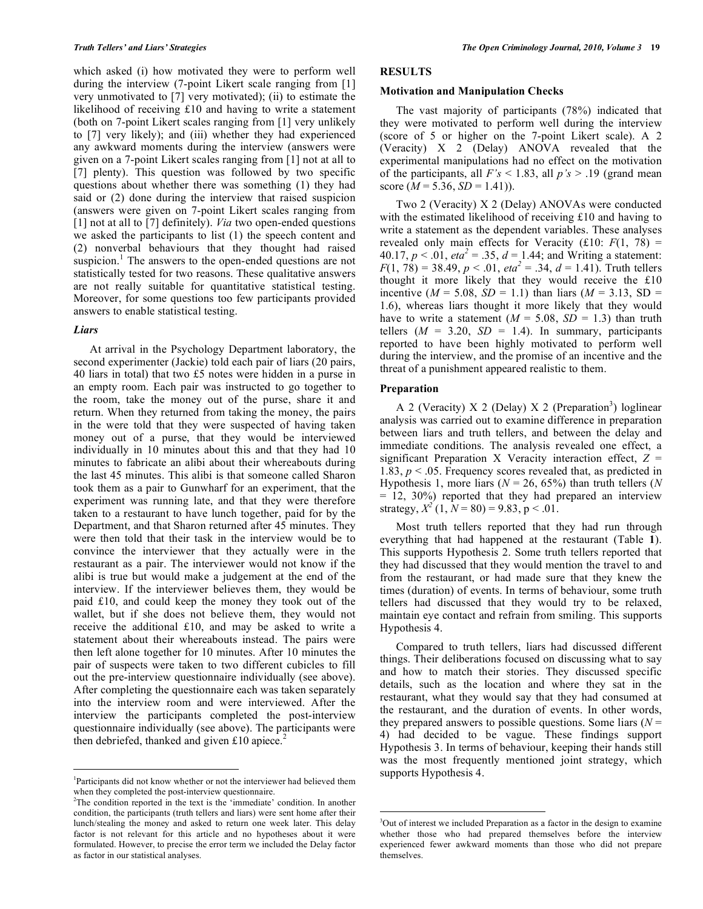which asked (i) how motivated they were to perform well during the interview (7-point Likert scale ranging from [1] very unmotivated to [7] very motivated); (ii) to estimate the likelihood of receiving £10 and having to write a statement (both on 7-point Likert scales ranging from [1] very unlikely to [7] very likely); and (iii) whether they had experienced any awkward moments during the interview (answers were given on a 7-point Likert scales ranging from [1] not at all to [7] plenty). This question was followed by two specific questions about whether there was something (1) they had said or (2) done during the interview that raised suspicion (answers were given on 7-point Likert scales ranging from [1] not at all to [7] definitely). *Via* two open-ended questions we asked the participants to list (1) the speech content and (2) nonverbal behaviours that they thought had raised suspicion.<sup>1</sup> The answers to the open-ended questions are not statistically tested for two reasons. These qualitative answers are not really suitable for quantitative statistical testing. Moreover, for some questions too few participants provided answers to enable statistical testing.

#### *Liars*

1

 At arrival in the Psychology Department laboratory, the second experimenter (Jackie) told each pair of liars (20 pairs, 40 liars in total) that two £5 notes were hidden in a purse in an empty room. Each pair was instructed to go together to the room, take the money out of the purse, share it and return. When they returned from taking the money, the pairs in the were told that they were suspected of having taken money out of a purse, that they would be interviewed individually in 10 minutes about this and that they had 10 minutes to fabricate an alibi about their whereabouts during the last 45 minutes. This alibi is that someone called Sharon took them as a pair to Gunwharf for an experiment, that the experiment was running late, and that they were therefore taken to a restaurant to have lunch together, paid for by the Department, and that Sharon returned after 45 minutes. They were then told that their task in the interview would be to convince the interviewer that they actually were in the restaurant as a pair. The interviewer would not know if the alibi is true but would make a judgement at the end of the interview. If the interviewer believes them, they would be paid £10, and could keep the money they took out of the wallet, but if she does not believe them, they would not receive the additional £10, and may be asked to write a statement about their whereabouts instead. The pairs were then left alone together for 10 minutes. After 10 minutes the pair of suspects were taken to two different cubicles to fill out the pre-interview questionnaire individually (see above). After completing the questionnaire each was taken separately into the interview room and were interviewed. After the interview the participants completed the post-interview questionnaire individually (see above). The participants were then debriefed, thanked and given £10 apiece.<sup>2</sup>

## **RESULTS**

#### **Motivation and Manipulation Checks**

 The vast majority of participants (78%) indicated that they were motivated to perform well during the interview (score of 5 or higher on the 7-point Likert scale). A 2 (Veracity) X 2 (Delay) ANOVA revealed that the experimental manipulations had no effect on the motivation of the participants, all *F's* < 1.83, all *p's* > .19 (grand mean score  $(M = 5.36, SD = 1.41)$ .

 Two 2 (Veracity) X 2 (Delay) ANOVAs were conducted with the estimated likelihood of receiving £10 and having to write a statement as the dependent variables. These analyses revealed only main effects for Veracity  $(f10: F(1, 78))$  = 40.17,  $p < 0.01$ ,  $eta^2 = 0.35$ ,  $d = 1.44$ ; and Writing a statement:  $F(1, 78) = 38.49, p < .01, \text{eta}^2 = .34, d = 1.41$ . Truth tellers thought it more likely that they would receive the £10 incentive ( $M = 5.08$ ,  $SD = 1.1$ ) than liars ( $M = 3.13$ ,  $SD =$ 1.6), whereas liars thought it more likely that they would have to write a statement  $(M = 5.08, SD = 1.3)$  than truth tellers  $(M = 3.20, SD = 1.4)$ . In summary, participants reported to have been highly motivated to perform well during the interview, and the promise of an incentive and the threat of a punishment appeared realistic to them.

#### **Preparation**

 $\overline{a}$ 

A 2 (Veracity) X 2 (Delay) X 2 (Preparation<sup>3</sup>) loglinear analysis was carried out to examine difference in preparation between liars and truth tellers, and between the delay and immediate conditions. The analysis revealed one effect, a significant Preparation X Veracity interaction effect, *Z* = 1.83, *p* < .05. Frequency scores revealed that, as predicted in Hypothesis 1, more liars (*N* = 26, 65%) than truth tellers (*N*  $= 12, 30\%$  reported that they had prepared an interview strategy,  $X^2(1, N = 80) = 9.83$ ,  $p < .01$ .

 Most truth tellers reported that they had run through everything that had happened at the restaurant (Table **1**). This supports Hypothesis 2. Some truth tellers reported that they had discussed that they would mention the travel to and from the restaurant, or had made sure that they knew the times (duration) of events. In terms of behaviour, some truth tellers had discussed that they would try to be relaxed, maintain eye contact and refrain from smiling. This supports Hypothesis 4.

 Compared to truth tellers, liars had discussed different things. Their deliberations focused on discussing what to say and how to match their stories. They discussed specific details, such as the location and where they sat in the restaurant, what they would say that they had consumed at the restaurant, and the duration of events. In other words, they prepared answers to possible questions. Some liars  $(N =$ 4) had decided to be vague. These findings support Hypothesis 3. In terms of behaviour, keeping their hands still was the most frequently mentioned joint strategy, which supports Hypothesis 4.

<sup>1</sup> Participants did not know whether or not the interviewer had believed them when they completed the post-interview questionnaire.

<sup>&</sup>lt;sup>2</sup>The condition reported in the text is the 'immediate' condition. In another condition, the participants (truth tellers and liars) were sent home after their lunch/stealing the money and asked to return one week later. This delay factor is not relevant for this article and no hypotheses about it were formulated. However, to precise the error term we included the Delay factor as factor in our statistical analyses.

<sup>&</sup>lt;sup>3</sup>Out of interest we included Preparation as a factor in the design to examine whether those who had prepared themselves before the interview experienced fewer awkward moments than those who did not prepare themselves.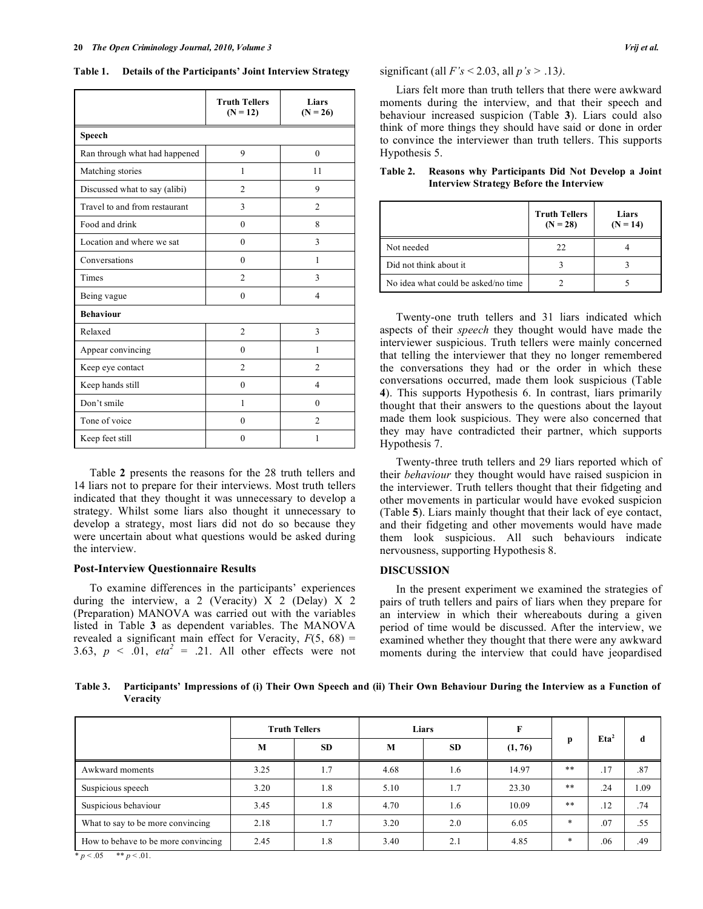**Table 1. Details of the Participants' Joint Interview Strategy** 

|                               | <b>Truth Tellers</b><br>$(N = 12)$ | Liars<br>$(N = 26)$ |  |  |  |
|-------------------------------|------------------------------------|---------------------|--|--|--|
| Speech                        |                                    |                     |  |  |  |
| Ran through what had happened | 9                                  | $\theta$            |  |  |  |
| Matching stories              | 1                                  | 11                  |  |  |  |
| Discussed what to say (alibi) | $\overline{2}$                     | 9                   |  |  |  |
| Travel to and from restaurant | 3                                  | $\overline{c}$      |  |  |  |
| Food and drink                | $\theta$                           | 8                   |  |  |  |
| Location and where we sat     | $\theta$                           | 3                   |  |  |  |
| Conversations                 | $\theta$                           | 1                   |  |  |  |
| Times                         | $\overline{c}$                     | 3                   |  |  |  |
| Being vague                   | $\theta$                           | $\overline{4}$      |  |  |  |
| <b>Behaviour</b>              |                                    |                     |  |  |  |
| Relaxed                       | $\overline{2}$                     | 3                   |  |  |  |
| Appear convincing             | $\theta$                           | 1                   |  |  |  |
| Keep eye contact              | $\mathfrak{D}$                     | $\mathfrak{D}$      |  |  |  |
| Keep hands still              | $\theta$                           | $\overline{4}$      |  |  |  |
| Don't smile                   | 1                                  | $\Omega$            |  |  |  |
| Tone of voice                 | $\theta$                           | $\mathfrak{D}$      |  |  |  |
| Keep feet still               | $\theta$                           | 1                   |  |  |  |

 Table **2** presents the reasons for the 28 truth tellers and 14 liars not to prepare for their interviews. Most truth tellers indicated that they thought it was unnecessary to develop a strategy. Whilst some liars also thought it unnecessary to develop a strategy, most liars did not do so because they were uncertain about what questions would be asked during the interview.

#### **Post-Interview Questionnaire Results**

 To examine differences in the participants' experiences during the interview, a 2 (Veracity)  $\overline{X}$  2 (Delay)  $\overline{X}$  2 (Preparation) MANOVA was carried out with the variables listed in Table **3** as dependent variables. The MANOVA revealed a significant main effect for Veracity,  $F(5, 68) =$ 3.63,  $p \le 0.01$ ,  $eta^2 = 0.21$ . All other effects were not significant (all *F's* < 2.03, all *p's >* .13*)*.

 Liars felt more than truth tellers that there were awkward moments during the interview, and that their speech and behaviour increased suspicion (Table **3**). Liars could also think of more things they should have said or done in order to convince the interviewer than truth tellers. This supports Hypothesis 5.

|                                     | <b>Truth Tellers</b><br>$(N = 28)$ | Liars<br>$(N = 14)$ |
|-------------------------------------|------------------------------------|---------------------|
| Not needed                          | 22.                                |                     |
| Did not think about it              |                                    |                     |
| No idea what could be asked/no time |                                    |                     |

**Table 2. Reasons why Participants Did Not Develop a Joint Interview Strategy Before the Interview** 

 Twenty-one truth tellers and 31 liars indicated which aspects of their *speech* they thought would have made the interviewer suspicious. Truth tellers were mainly concerned that telling the interviewer that they no longer remembered the conversations they had or the order in which these conversations occurred, made them look suspicious (Table **4**). This supports Hypothesis 6. In contrast, liars primarily thought that their answers to the questions about the layout made them look suspicious. They were also concerned that they may have contradicted their partner, which supports Hypothesis 7.

 Twenty-three truth tellers and 29 liars reported which of their *behaviour* they thought would have raised suspicion in the interviewer. Truth tellers thought that their fidgeting and other movements in particular would have evoked suspicion (Table **5**). Liars mainly thought that their lack of eye contact, and their fidgeting and other movements would have made them look suspicious. All such behaviours indicate nervousness, supporting Hypothesis 8.

#### **DISCUSSION**

 In the present experiment we examined the strategies of pairs of truth tellers and pairs of liars when they prepare for an interview in which their whereabouts during a given period of time would be discussed. After the interview, we examined whether they thought that there were any awkward moments during the interview that could have jeopardised

**Table 3. Participants' Impressions of (i) Their Own Speech and (ii) Their Own Behaviour During the Interview as a Function of Veracity** 

|                                     |      | <b>Truth Tellers</b> |      | Liars |         |        |                  |      |
|-------------------------------------|------|----------------------|------|-------|---------|--------|------------------|------|
|                                     | M    | <b>SD</b>            | M    | SD    | (1, 76) | p      | Eta <sup>2</sup> | d    |
| Awkward moments                     | 3.25 | 1.7                  | 4.68 | 1.6   | 14.97   | $***$  | .17              | .87  |
| Suspicious speech                   | 3.20 | 1.8                  | 5.10 | 1.7   | 23.30   | $***$  | .24              | 1.09 |
| Suspicious behaviour                | 3.45 | 1.8                  | 4.70 | 1.6   | 10.09   | $***$  | .12              | .74  |
| What to say to be more convincing   | 2.18 | 1.7                  | 3.20 | 2.0   | 6.05    | $\ast$ | .07              | .55  |
| How to behave to be more convincing | 2.45 | 1.8                  | 3.40 | 2.1   | 4.85    | $\ast$ | .06              | .49  |

 $p < 0.05$  \*\*  $p < 0.01$ .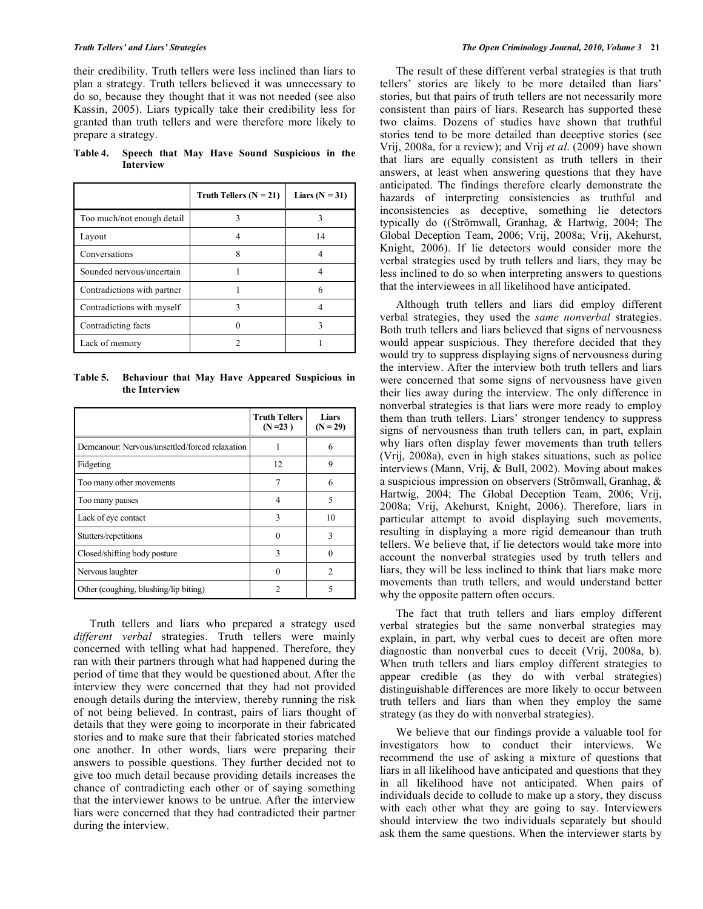their credibility. Truth tellers were less inclined than liars to plan a strategy. Truth tellers believed it was unnecessary to do so, because they thought that it was not needed (see also Kassin, 2005). Liars typically take their credibility less for granted than truth tellers and were therefore more likely to prepare a strategy.

**Table 4. Speech that May Have Sound Suspicious in the Interview** 

|                             | Truth Tellers $(N = 21)$ | Liars $(N = 31)$ |
|-----------------------------|--------------------------|------------------|
| Too much/not enough detail  |                          |                  |
| Layout                      |                          | 14               |
| Conversations               | 8                        |                  |
| Sounded nervous/uncertain   |                          |                  |
| Contradictions with partner |                          |                  |
| Contradictions with myself  |                          |                  |
| Contradicting facts         |                          |                  |
| Lack of memory              |                          |                  |

**Table 5. Behaviour that May Have Appeared Suspicious in the Interview** 

|                                                | <b>Truth Tellers</b><br>$(N=23)$ | Liars<br>$(N = 29)$ |
|------------------------------------------------|----------------------------------|---------------------|
| Demeanour: Nervous/unsettled/forced relaxation |                                  | 6                   |
| Fidgeting                                      | 12                               | 9                   |
| Too many other movements                       | 7                                | 6                   |
| Too many pauses                                | 4                                | 5                   |
| Lack of eye contact                            | 3                                | 10                  |
| Stutters/repetitions                           | 0                                | 3                   |
| Closed/shifting body posture                   | 3                                |                     |
| Nervous laughter                               |                                  | $\mathfrak{D}$      |
| Other (coughing, blushing/lip biting)          | 7                                |                     |

 Truth tellers and liars who prepared a strategy used *different verbal* strategies. Truth tellers were mainly concerned with telling what had happened. Therefore, they ran with their partners through what had happened during the period of time that they would be questioned about. After the interview they were concerned that they had not provided enough details during the interview, thereby running the risk of not being believed. In contrast, pairs of liars thought of details that they were going to incorporate in their fabricated stories and to make sure that their fabricated stories matched one another. In other words, liars were preparing their answers to possible questions. They further decided not to give too much detail because providing details increases the chance of contradicting each other or of saying something that the interviewer knows to be untrue. After the interview liars were concerned that they had contradicted their partner during the interview.

 The result of these different verbal strategies is that truth tellers' stories are likely to be more detailed than liars' stories, but that pairs of truth tellers are not necessarily more consistent than pairs of liars. Research has supported these two claims. Dozens of studies have shown that truthful stories tend to be more detailed than deceptive stories (see Vrij, 2008a, for a review); and Vrij *et al*. (2009) have shown that liars are equally consistent as truth tellers in their answers, at least when answering questions that they have anticipated. The findings therefore clearly demonstrate the hazards of interpreting consistencies as truthful and inconsistencies as deceptive, something lie detectors typically do ((Strömwall, Granhag, & Hartwig, 2004; The Global Deception Team, 2006; Vrij, 2008a; Vrij, Akehurst, Knight, 2006). If lie detectors would consider more the verbal strategies used by truth tellers and liars, they may be less inclined to do so when interpreting answers to questions that the interviewees in all likelihood have anticipated.

 Although truth tellers and liars did employ different verbal strategies, they used the *same nonverbal* strategies. Both truth tellers and liars believed that signs of nervousness would appear suspicious. They therefore decided that they would try to suppress displaying signs of nervousness during the interview. After the interview both truth tellers and liars were concerned that some signs of nervousness have given their lies away during the interview. The only difference in nonverbal strategies is that liars were more ready to employ them than truth tellers. Liars' stronger tendency to suppress signs of nervousness than truth tellers can, in part, explain why liars often display fewer movements than truth tellers (Vrij, 2008a), even in high stakes situations, such as police interviews (Mann, Vrij, & Bull, 2002). Moving about makes a suspicious impression on observers (Strömwall, Granhag, & Hartwig, 2004; The Global Deception Team, 2006; Vrij, 2008a; Vrij, Akehurst, Knight, 2006). Therefore, liars in particular attempt to avoid displaying such movements, resulting in displaying a more rigid demeanour than truth tellers. We believe that, if lie detectors would take more into account the nonverbal strategies used by truth tellers and liars, they will be less inclined to think that liars make more movements than truth tellers, and would understand better why the opposite pattern often occurs.

 The fact that truth tellers and liars employ different verbal strategies but the same nonverbal strategies may explain, in part, why verbal cues to deceit are often more diagnostic than nonverbal cues to deceit (Vrij, 2008a, b). When truth tellers and liars employ different strategies to appear credible (as they do with verbal strategies) distinguishable differences are more likely to occur between truth tellers and liars than when they employ the same strategy (as they do with nonverbal strategies).

 We believe that our findings provide a valuable tool for investigators how to conduct their interviews. We recommend the use of asking a mixture of questions that liars in all likelihood have anticipated and questions that they in all likelihood have not anticipated. When pairs of individuals decide to collude to make up a story, they discuss with each other what they are going to say. Interviewers should interview the two individuals separately but should ask them the same questions. When the interviewer starts by